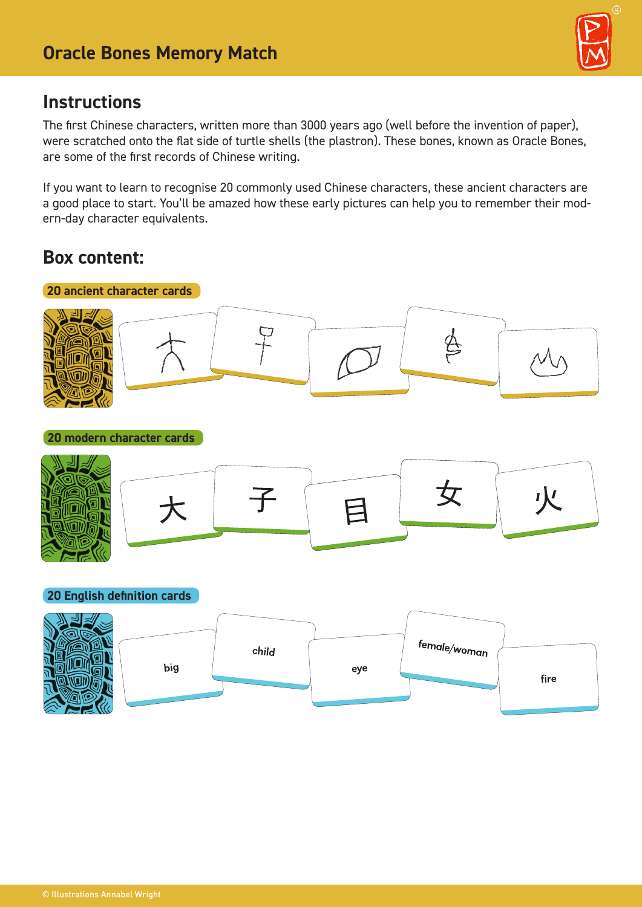

### **Instructions**

The first Chinese characters, written more than 3000 years ago (well before the invention of paper), were scratched onto the flat side of turtle shells (the plastron). These bones, known as Oracle Bones, are some of the first records of Chinese writing.

If you want to learn to recognise 20 commonly used Chinese characters, these ancient characters are a good place to start. You'll be amazed how these early pictures can help you to remember their modern-day character equivalents.

### **Box content:**



**20 modern character cards**



#### **20 English definition cards**

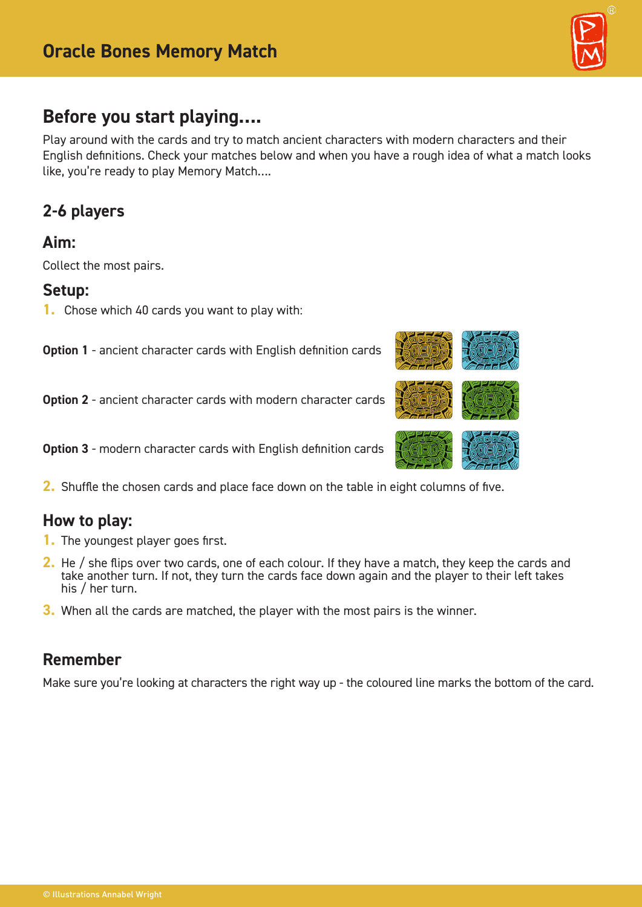

# **Before you start playing….**

Play around with the cards and try to match ancient characters with modern characters and their English definitions. Check your matches below and when you have a rough idea of what a match looks like, you're ready to play Memory Match….

## **2-6 players**

### **Aim:**

Collect the most pairs.

#### **Setup:**

**1.** Chose which 40 cards you want to play with:

**Option 1** - ancient character cards with English definition cards

**Option 2** - ancient character cards with modern character cards

**Option 3** - modern character cards with English definition cards

**2.** Shuffle the chosen cards and place face down on the table in eight columns of five.

### **How to play:**

- **1.** The youngest player goes first.
- **2.** He / she flips over two cards, one of each colour. If they have a match, they keep the cards and take another turn. If not, they turn the cards face down again and the player to their left takes his / her turn.
- **3.** When all the cards are matched, the player with the most pairs is the winner.

### **Remember**

Make sure you're looking at characters the right way up - the coloured line marks the bottom of the card.